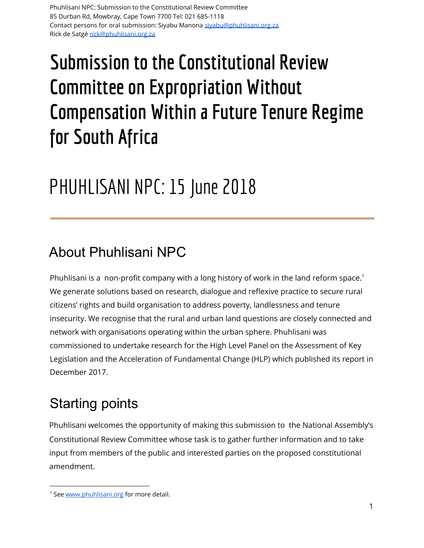# **Submission tothe Constitutional Review Committee on Expropriation Without Compensation Within a Future Tenure Regime for South Africa**

# PHUHLISANI NPC: 15 June 2018

### About Phuhlisani NPC

Phuhlisani is a non-profit company with a long history of work in the land reform space.<sup>1</sup> We generate solutions based on research, dialogue and reflexive practice to secure rural citizens' rights and build organisation to address poverty, landlessness and tenure insecurity. We recognise that the rural and urban land questions are closely connected and network with organisations operating within the urban sphere. Phuhlisani was commissioned to undertake research for the High Level Panel on the Assessment of Key Legislation and the Acceleration of Fundamental Change (HLP) which published its report in December 2017.

#### Starting points

Phuhlisani welcomes the opportunity of making this submission to the National Assembly's Constitutional Review Committee whose task is to gather further information and to take input from members of the public and interested parties on the proposed constitutional amendment.

<sup>&</sup>lt;sup>1</sup> See [www.phuhlisani.org](http://www.phuhlisani.org/) for more detail.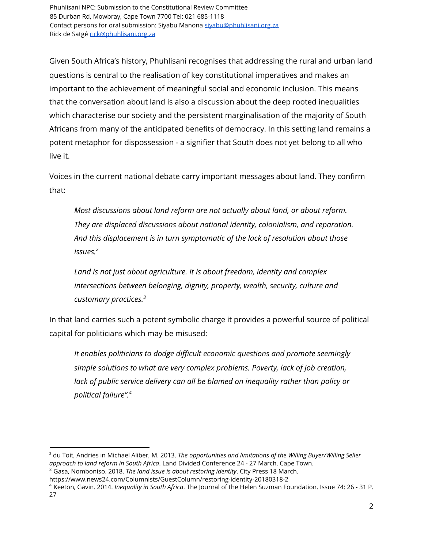Given South Africa's history, Phuhlisani recognises that addressing the rural and urban land questions is central to the realisation of key constitutional imperatives and makes an important to the achievement of meaningful social and economic inclusion. This means that the conversation about land is also a discussion about the deep rooted inequalities which characterise our society and the persistent marginalisation of the majority of South Africans from many of the anticipated benefits of democracy. In this setting land remains a potent metaphor for dispossession - a signifier that South does not yet belong to all who live it.

Voices in the current national debate carry important messages about land. They confirm that:

*Most discussions about land reform are not actually about land, or about reform. They are displaced discussions about national identity, colonialism, and reparation. And this displacement is in turn symptomatic of the lack of resolution about those issues. 2*

*Land is not just about agriculture. It is about freedom, identity and complex intersections between belonging, dignity, property, wealth, security, culture and customary practices. 3*

In that land carries such a potent symbolic charge it provides a powerful source of political capital for politicians which may be misused:

*It enables politicians to dodge difficult economic questions and promote seemingly simple solutions to what are very complex problems. Poverty, lack of job creation, lack of public service delivery can all be blamed on inequality rather than policy or political failure". 4*

<sup>2</sup> du Toit, Andries in Michael Aliber, M. 2013. *The opportunities and limitations of the Willing Buyer/Willing Seller approach to land reform in South Africa*. Land Divided Conference 24 - 27 March. Cape Town.

<sup>3</sup> Gasa, Nomboniso. 2018. *The land issue is about restoring identity*. City Press 18 March.

https://www.news24.com/Columnists/GuestColumn/restoring-identity-20180318-2

<sup>4</sup> Keeton, Gavin. 2014. *Inequality in South Africa*. The Journal of the Helen Suzman Foundation. Issue 74: 26 - 31 P. 27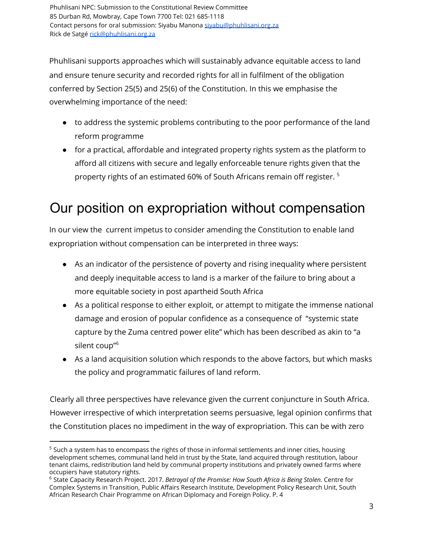Phuhlisani supports approaches which will sustainably advance equitable access to land and ensure tenure security and recorded rights for all in fulfilment of the obligation conferred by Section 25(5) and 25(6) of the Constitution. In this we emphasise the overwhelming importance of the need:

- to address the systemic problems contributing to the poor performance of the land reform programme
- for a practical, affordable and integrated property rights system as the platform to afford all citizens with secure and legally enforceable tenure rights given that the property rights of an estimated 60% of South Africans remain off register. 5

#### Our position on expropriation without compensation

In our view the current impetus to consider amending the Constitution to enable land expropriation without compensation can be interpreted in three ways:

- As an indicator of the persistence of poverty and rising inequality where persistent and deeply inequitable access to land is a marker of the failure to bring about a more equitable society in post apartheid South Africa
- As a political response to either exploit, or attempt to mitigate the immense national damage and erosion of popular confidence as a consequence of "systemic state capture by the Zuma centred power elite" which has been described as akin to "a silent coup" 6
- As a land acquisition solution which responds to the above factors, but which masks the policy and programmatic failures of land reform.

Clearly all three perspectives have relevance given the current conjuncture in South Africa. However irrespective of which interpretation seems persuasive, legal opinion confirms that the Constitution places no impediment in the way of expropriation. This can be with zero

 $5$  Such a system has to encompass the rights of those in informal settlements and inner cities, housing development schemes, communal land held in trust by the State, land acquired through restitution, labour tenant claims, redistribution land held by communal property institutions and privately owned farms where occupiers have statutory rights.

<sup>6</sup> State Capacity Research Project. 2017. *Betrayal of the Promise: How South Africa is Being Stolen.* Centre for Complex Systems in Transition, Public Affairs Research Institute, Development Policy Research Unit, South African Research Chair Programme on African Diplomacy and Foreign Policy. P. 4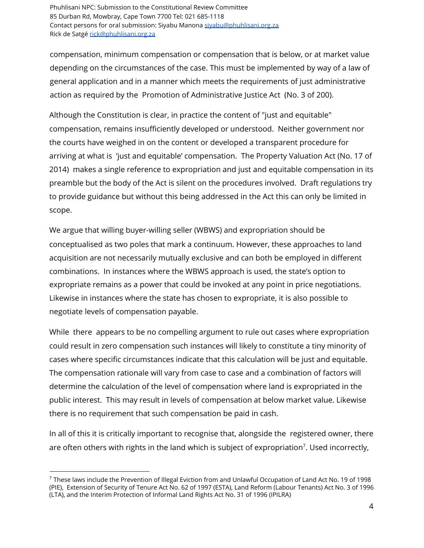compensation, minimum compensation or compensation that is below, or at market value depending on the circumstances of the case. This must be implemented by way of a law of general application and in a manner which meets the requirements of just administrative action as required by the Promotion of Administrative Justice Act (No. 3 of 200).

Although the Constitution is clear, in practice the content of "just and equitable" compensation, remains insufficiently developed or understood. Neither government nor the courts have weighed in on the content or developed a transparent procedure for arriving at what is 'just and equitable' compensation. The Property Valuation Act (No. 17 of 2014) makes a single reference to expropriation and just and equitable compensation in its preamble but the body of the Act is silent on the procedures involved. Draft regulations try to provide guidance but without this being addressed in the Act this can only be limited in scope.

We argue that willing buyer-willing seller (WBWS) and expropriation should be conceptualised as two poles that mark a continuum. However, these approaches to land acquisition are not necessarily mutually exclusive and can both be employed in different combinations. In instances where the WBWS approach is used, the state's option to expropriate remains as a power that could be invoked at any point in price negotiations. Likewise in instances where the state has chosen to expropriate, it is also possible to negotiate levels of compensation payable.

While there appears to be no compelling argument to rule out cases where expropriation could result in zero compensation such instances will likely to constitute a tiny minority of cases where specific circumstances indicate that this calculation will be just and equitable. The compensation rationale will vary from case to case and a combination of factors will determine the calculation of the level of compensation where land is expropriated in the public interest. This may result in levels of compensation at below market value. Likewise there is no requirement that such compensation be paid in cash.

In all of this it is critically important to recognise that, alongside the registered owner, there are often others with rights in the land which is subject of expropriation<sup>7</sup>. Used incorrectly,

<sup>7</sup> These laws include thePrevention of Illegal Eviction from and Unlawful Occupation of Land Act No. 19 of 1998 (PIE), Extension of Security of Tenure Act No. 62 of 1997 (ESTA), Land Reform (Labour Tenants) Act No. 3 of 1996 (LTA), and the Interim Protection of Informal Land Rights Act No. 31 of 1996 (IPILRA)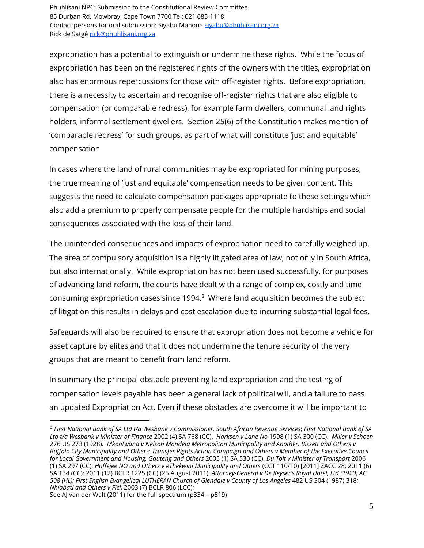expropriation has a potential to extinguish or undermine these rights. While the focus of expropriation has been on the registered rights of the owners with the titles, expropriation also has enormous repercussions for those with off-register rights. Before expropriation, there is a necessity to ascertain and recognise off-register rights that are also eligible to compensation (or comparable redress), for example farm dwellers, communal land rights holders, informal settlement dwellers. Section 25(6) of the Constitution makes mention of 'comparable redress' for such groups, as part of what will constitute 'just and equitable' compensation.

In cases where the land of rural communities may be expropriated for mining purposes, the true meaning of 'just and equitable' compensation needs to be given content. This suggests the need to calculate compensation packages appropriate to these settings which also add a premium to properly compensate people for the multiple hardships and social consequences associated with the loss of their land.

The unintended consequences and impacts of expropriation need to carefully weighed up. The area of compulsory acquisition is a highly litigated area of law, not only in South Africa, but also internationally. While expropriation has not been used successfully, for purposes of advancing land reform, the courts have dealt with a range of complex, costly and time consuming expropriation cases since 1994. $8$  Where land acquisition becomes the subject of litigation this results in delays and cost escalation due to incurring substantial legal fees.

Safeguards will also be required to ensure that expropriation does not become a vehicle for asset capture by elites and that it does not undermine the tenure security of the very groups that are meant to benefit from land reform.

In summary the principal obstacle preventing land expropriation and the testing of compensation levels payable has been a general lack of political will, and a failure to pass an updated Expropriation Act. Even if these obstacles are overcome it will be important to

<sup>8</sup> *First National Bank of SA Ltd t/a Wesbank v Commissioner, South African Revenue Services*; *First National Bank of SA Ltd t/a Wesbank v Minister of Finance* 2002 (4) SA 768 (CC). *Harksen v Lane No* 1998 (1) SA 300 (CC). *Miller v Schoen* 276 US 273 (1928). *Mkontwana v Nelson Mandela Metropolitan Municipality and Another; Bissett and Others v Buffalo City Municipality and Others; Transfer Rights Action Campaign and Others v Member of the Executive Council for Local Government and Housing, Gauteng and Others* 2005 (1) SA 530 (CC). *Du Toit v Minister of Transport* 2006 (1) SA 297 (CC); *Haffejee NO and Others v eThekwini Municipality and Others* (CCT 110/10) [2011] ZACC 28; 2011 (6) SA 134 (CC); 2011 (12) BCLR 1225 (CC) (25 August 2011); *Attorney-General v De Keyser's Royal Hotel, Ltd (1920) AC 508 (HL); First English Evangelical LUTHERAN Church of Glendale v County of Los Angeles* 482 US 304 (1987) 318; *Nhlabati and Others v Fick* 2003 (7) BCLR 806 (LCC);

See AJ van der Walt (2011) for the full spectrum (p334 – p519)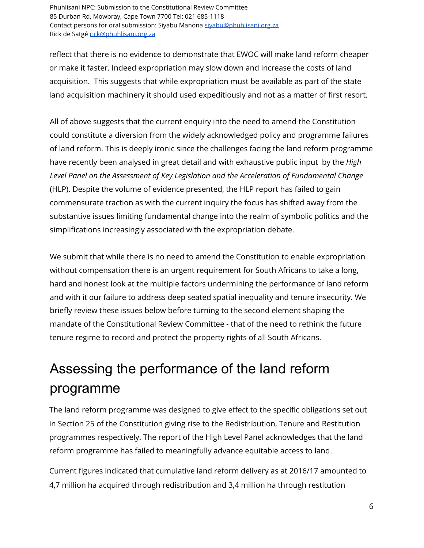reflect that there is no evidence to demonstrate that EWOC will make land reform cheaper or make it faster. Indeed expropriation may slow down and increase the costs of land acquisition. This suggests that while expropriation must be available as part of the state land acquisition machinery it should used expeditiously and not as a matter of first resort.

All of above suggests that the current enquiry into the need to amend the Constitution could constitute a diversion from the widely acknowledged policy and programme failures of land reform. This is deeply ironic since the challenges facing the land reform programme have recently been analysed in great detail and with exhaustive public input by the *High Level Panel on the Assessment of Key Legislation and the Acceleration of Fundamental Change* (HLP). Despite the volume of evidence presented, the HLP report has failed to gain commensurate traction as with the current inquiry the focus has shifted away from the substantive issues limiting fundamental change into the realm of symbolic politics and the simplifications increasingly associated with the expropriation debate.

We submit that while there is no need to amend the Constitution to enable expropriation without compensation there is an urgent requirement for South Africans to take a long, hard and honest look at the multiple factors undermining the performance of land reform and with it our failure to address deep seated spatial inequality and tenure insecurity. We briefly review these issues below before turning to the second element shaping the mandate of the Constitutional Review Committee - that of the need to rethink the future tenure regime to record and protect the property rights of all South Africans.

## Assessing the performance of the land reform programme

The land reform programme was designed to give effect to the specific obligations set out in Section 25 of the Constitution giving rise to the Redistribution, Tenure and Restitution programmes respectively. The report of the High Level Panel acknowledges that the land reform programme has failed to meaningfully advance equitable access to land.

Current figures indicated that cumulative land reform delivery as at 2016/17 amounted to 4,7 million ha acquired through redistribution and 3,4 million ha through restitution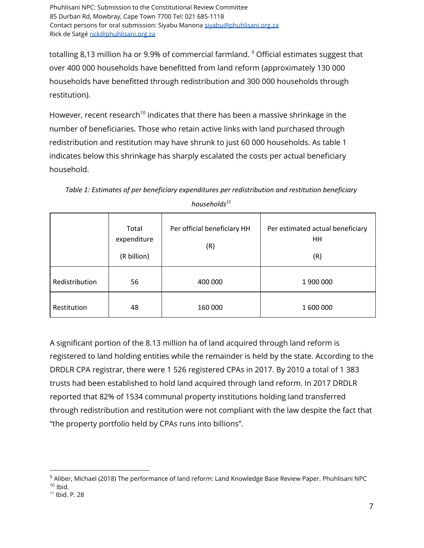totalling 8,13 million ha or 9.9% of commercial farmland.  $^9$  Official estimates suggest that over 400 000 households have benefitted from land reform (approximately 130 000 households have benefitted through redistribution and 300 000 households through restitution).

However, recent research<sup>10</sup> indicates that there has been a massive shrinkage in the number of beneficiaries. Those who retain active links with land purchased through redistribution and restitution may have shrunk to just 60 000 households. As table 1 indicates below this shrinkage has sharply escalated the costs per actual beneficiary household.

|                | Total<br>expenditure<br>(R billion) | Per official beneficiary HH<br>(R) | Per estimated actual beneficiary<br>HH<br>(R) |
|----------------|-------------------------------------|------------------------------------|-----------------------------------------------|
| Redistribution | 56                                  | 400 000                            | 1 900 000                                     |
| Restitution    | 48                                  | 160 000                            | 1 600 000                                     |

*Table 1: Estimates of per beneficiary expenditures per redistribution and restitution beneficiary households 11*

A significant portion of the 8.13 million ha of land acquired through land reform is registered to land holding entities while the remainder is held by the state. According to the DRDLR CPA registrar, there were 1 526 registered CPAs in 2017. By 2010 a total of 1 383 trusts had been established to hold land acquired through land reform. In 2017 DRDLR reported that 82% of 1534 communal property institutions holding land transferred through redistribution and restitution were not compliant with the law despite the fact that "the property portfolio held by CPAs runs into billions".

<sup>9</sup> Aliber, Michael (2018) The performance of land reform: Land Knowledge Base Review Paper. Phuhlisani NPC  $10$  Ibid.

<sup>&</sup>lt;sup>11</sup> Ibid. P. 28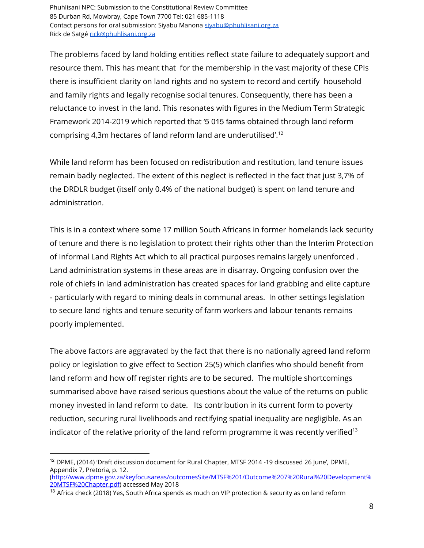The problems faced by land holding entities reflect state failure to adequately support and resource them. This has meant that for the membership in the vast majority of these CPIs there is insufficient clarity on land rights and no system to record and certify household and family rights and legally recognise social tenures. Consequently, there has been a reluctance to invest in the land. This resonates with figures in the Medium Term Strategic Framework 2014-2019 which reported that '5 015 farms obtained through land reform comprising 4,3m hectares of land reform land are underutilised'. 12

While land reform has been focused on redistribution and restitution, land tenure issues remain badly neglected. The extent of this neglect is reflected in the fact that just 3,7% of the DRDLR budget (itself only 0.4% of the national budget) is spent on land tenure and administration.

This is in a context where some 17 million South Africans in former homelands lack security of tenure and there is no legislation to protect their rights other than the Interim Protection of Informal Land Rights Act which to all practical purposes remains largely unenforced . Land administration systems in these areas are in disarray. Ongoing confusion over the role of chiefs in land administration has created spaces for land grabbing and elite capture - particularly with regard to mining deals in communal areas. In other settings legislation to secure land rights and tenure security of farm workers and labour tenants remains poorly implemented.

The above factors are aggravated by the fact that there is no nationally agreed land reform policy or legislation to give effect to Section 25(5) which clarifies who should benefit from land reform and how off register rights are to be secured. The multiple shortcomings summarised above have raised serious questions about the value of the returns on public money invested in land reform to date. Its contribution in its current form to poverty reduction, securing rural livelihoods and rectifying spatial inequality are negligible. As an indicator of the relative priority of the land reform programme it was recently verified $^{13}$ 

<sup>&</sup>lt;sup>12</sup> DPME, (2014) 'Draft discussion document for Rural Chapter, MTSF 2014 -19 discussed 26 June', DPME, Appendix 7, Pretoria, p. 12. ([http://www.dpme.gov.za/keyfocusareas/outcomesSite/MTSF%201/Outcome%207%20Rural%20Development%](http://www.dpme.gov.za/keyfocusareas/outcomesSite/MTSF%201/Outcome%207%20Rural%20Development%20MTSF%20Chapter.pdf)

[<sup>20</sup>MTSF%20Chapter.pdf](http://www.dpme.gov.za/keyfocusareas/outcomesSite/MTSF%201/Outcome%207%20Rural%20Development%20MTSF%20Chapter.pdf)) accessed May 2018

<sup>&</sup>lt;sup>13</sup> Africa check (2018) Yes, South Africa spends as much on VIP protection & security as on land reform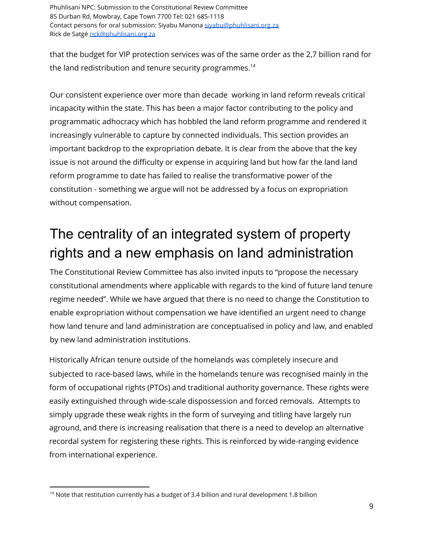that the budget for VIP protection services was of the same order as the 2,7 billion rand for the land redistribution and tenure security programmes. 14

Our consistent experience over more than decade working in land reform reveals critical incapacity within the state. This has been a major factor contributing to the policy and programmatic adhocracy which has hobbled the land reform programme and rendered it increasingly vulnerable to capture by connected individuals. This section provides an important backdrop to the expropriation debate. It is clear from the above that the key issue is not around the difficulty or expense in acquiring land but how far the land land reform programme to date has failed to realise the transformative power of the constitution - something we argue will not be addressed by a focus on expropriation without compensation.

# The centrality of an integrated system of property rights and a new emphasis on land administration

The Constitutional Review Committee has also invited inputs to "propose the necessary constitutional amendments where applicable with regards to the kind of future land tenure regime needed". While we have argued that there is no need to change the Constitution to enable expropriation without compensation we have identified an urgent need to change how land tenure and land administration are conceptualised in policy and law, and enabled by new land administration institutions.

Historically African tenure outside of the homelands was completely insecure and subjected to race-based laws, while in the homelands tenure was recognised mainly in the form of occupational rights (PTOs) and traditional authority governance. These rights were easily extinguished through wide-scale dispossession and forced removals. Attempts to simply upgrade these weak rights in the form of surveying and titling have largely run aground, and there is increasing realisation that there is a need to develop an alternative recordal system for registering these rights. This is reinforced by wide-ranging evidence from international experience.

 $^{14}$  Note that restitution currently has a budget of 3.4 billion and rural development 1.8 billion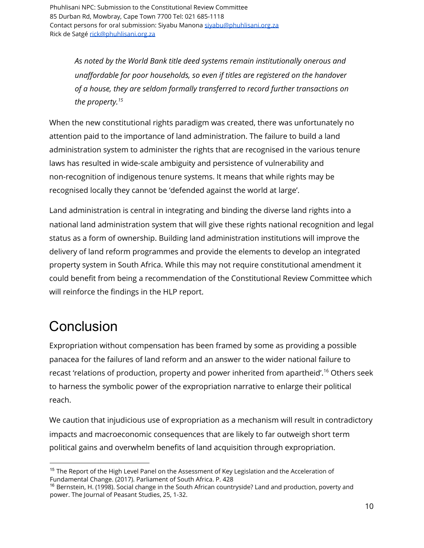> *As noted by the World Bank title deed systems remain institutionally onerous and unaffordable for poor households, so even if titles are registered on the handover of a house, they are seldom formally transferred to record further transactions on the property. 15*

When the new constitutional rights paradigm was created, there was unfortunately no attention paid to the importance of land administration. The failure to build a land administration system to administer the rights that are recognised in the various tenure laws has resulted in wide-scale ambiguity and persistence of vulnerability and non-recognition of indigenous tenure systems. It means that while rights may be recognised locally they cannot be 'defended against the world at large'.

Land administration is central in integrating and binding the diverse land rights into a national land administration system that will give these rights national recognition and legal status as a form of ownership. Building land administration institutions will improve the delivery of land reform programmes and provide the elements to develop an integrated property system in South Africa. While this may not require constitutional amendment it could benefit from being a recommendation of the Constitutional Review Committee which will reinforce the findings in the HLP report.

#### **Conclusion**

Expropriation without compensation has been framed by some as providing a possible panacea for the failures of land reform and an answer to the wider national failure to recast 'relations of production, property and power inherited from apartheid'.<sup>16</sup> [O](https://phuhlisaninpc-my.sharepoint.com/personal/rick_phuhlisani_org_za/Documents/09%20Rick%202016%2018/ABSA%20Knowledge%20base/Third%20draft%20review%20papers/De%20Satge%20R%20-%20Changing%20Land%20Policy%20070618.docx#_ftn2)thers seek to harness the symbolic power of the expropriation narrative to enlarge their political reach.

We caution that injudicious use of expropriation as a mechanism will result in contradictory impacts and macroeconomic consequences that are likely to far outweigh short term political gains and overwhelm benefits of land acquisition through expropriation.

<sup>&</sup>lt;sup>15</sup> The Report of the High Level Panel on the Assessment of Key Legislation and the Acceleration of Fundamental Change. (2017). Parliament of South Africa. P. 428

<sup>&</sup>lt;sup>16</sup> Bernstein, H. (1998). Social change in the South African countryside? Land and production, poverty and power. The Journal of Peasant Studies, 25, 1-32.